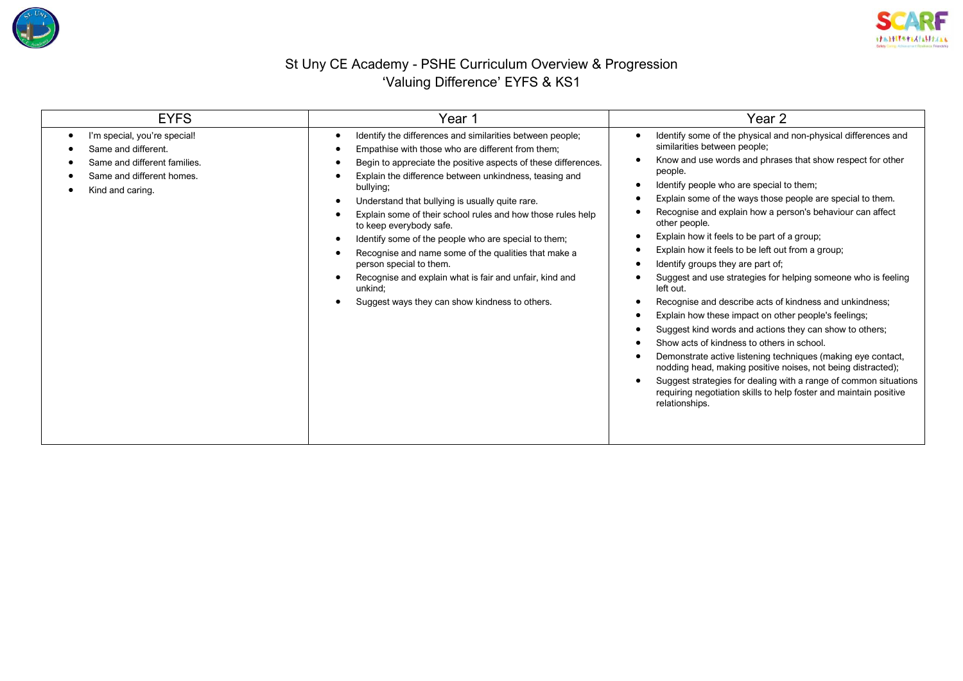



## St Uny CE Academy - PSHE Curriculum Overview & Progression 'Valuing Difference' EYFS & KS1

| <b>EYFS</b>                                                                                                                          | Year 1                                                                                                                                                                                                                                                                                                                                                                                                                                                                                                                                                                                                                                                                  | Year 2                                                                                                                                                                                                                                                                                                                                                                                                                                                                                                                                                                                                                                                                                                                                                                                                                                                                                                                                                                                                                                                                                                        |  |
|--------------------------------------------------------------------------------------------------------------------------------------|-------------------------------------------------------------------------------------------------------------------------------------------------------------------------------------------------------------------------------------------------------------------------------------------------------------------------------------------------------------------------------------------------------------------------------------------------------------------------------------------------------------------------------------------------------------------------------------------------------------------------------------------------------------------------|---------------------------------------------------------------------------------------------------------------------------------------------------------------------------------------------------------------------------------------------------------------------------------------------------------------------------------------------------------------------------------------------------------------------------------------------------------------------------------------------------------------------------------------------------------------------------------------------------------------------------------------------------------------------------------------------------------------------------------------------------------------------------------------------------------------------------------------------------------------------------------------------------------------------------------------------------------------------------------------------------------------------------------------------------------------------------------------------------------------|--|
| I'm special, you're special!<br>Same and different.<br>Same and different families.<br>Same and different homes.<br>Kind and caring. | Identify the differences and similarities between people;<br>Empathise with those who are different from them;<br>Begin to appreciate the positive aspects of these differences.<br>Explain the difference between unkindness, teasing and<br>bullying;<br>Understand that bullying is usually quite rare.<br>Explain some of their school rules and how those rules help<br>to keep everybody safe.<br>Identify some of the people who are special to them;<br>Recognise and name some of the qualities that make a<br>person special to them.<br>Recognise and explain what is fair and unfair, kind and<br>unkind:<br>Suggest ways they can show kindness to others. | Identify some of the physical and non-physical differences and<br>similarities between people;<br>Know and use words and phrases that show respect for other<br>people.<br>Identify people who are special to them;<br>Explain some of the ways those people are special to them.<br>Recognise and explain how a person's behaviour can affect<br>other people.<br>Explain how it feels to be part of a group;<br>Explain how it feels to be left out from a group;<br>Identify groups they are part of;<br>Suggest and use strategies for helping someone who is feeling<br>left out.<br>Recognise and describe acts of kindness and unkindness;<br>Explain how these impact on other people's feelings;<br>Suggest kind words and actions they can show to others;<br>Show acts of kindness to others in school.<br>Demonstrate active listening techniques (making eye contact,<br>nodding head, making positive noises, not being distracted);<br>Suggest strategies for dealing with a range of common situations<br>requiring negotiation skills to help foster and maintain positive<br>relationships. |  |